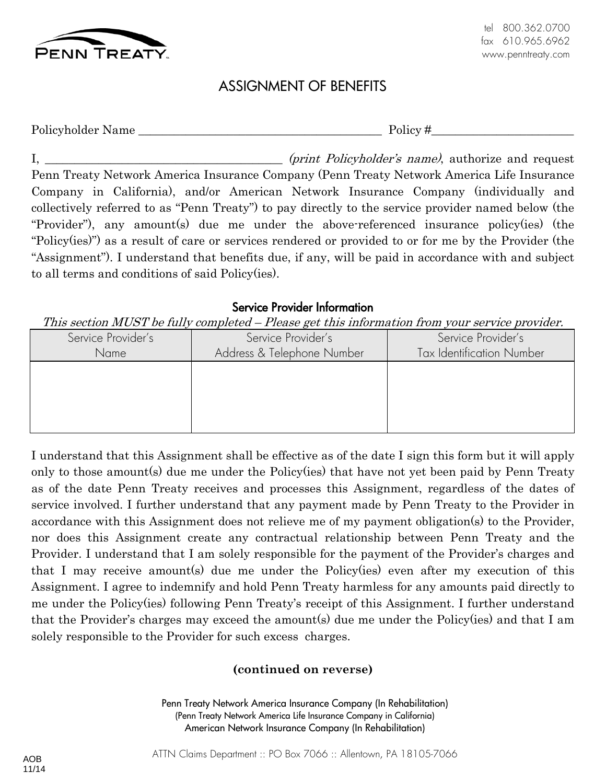

# ASSIGNMENT OF BENEFITS

Policyholder Name \_\_\_\_\_\_\_\_\_\_\_\_\_\_\_\_\_\_\_\_\_\_\_\_\_\_\_\_\_\_\_\_\_\_\_\_\_\_\_\_\_ Policy #\_\_\_\_\_\_\_\_\_\_\_\_\_\_\_\_\_\_\_\_\_\_\_\_

I,  $\frac{1}{2}$  (print Policyholder's name), authorize and request Penn Treaty Network America Insurance Company (Penn Treaty Network America Life Insurance Company in California), and/or American Network Insurance Company (individually and collectively referred to as "Penn Treaty") to pay directly to the service provider named below (the "Provider"), any amount(s) due me under the above-referenced insurance policy(ies) (the "Policy(ies)") as a result of care or services rendered or provided to or for me by the Provider (the "Assignment"). I understand that benefits due, if any, will be paid in accordance with and subject to all terms and conditions of said Policy(ies).

# Service Provider Information

# This section MUST be fully completed – Please get this information from your service provider.

| Service Provider's | Service Provider's         | Service Provider's               |
|--------------------|----------------------------|----------------------------------|
| Name               | Address & Telephone Number | <b>Tax Identification Number</b> |
|                    |                            |                                  |
|                    |                            |                                  |
|                    |                            |                                  |
|                    |                            |                                  |
|                    |                            |                                  |

I understand that this Assignment shall be effective as of the date I sign this form but it will apply only to those amount(s) due me under the Policy(ies) that have not yet been paid by Penn Treaty as of the date Penn Treaty receives and processes this Assignment, regardless of the dates of service involved. I further understand that any payment made by Penn Treaty to the Provider in accordance with this Assignment does not relieve me of my payment obligation(s) to the Provider, nor does this Assignment create any contractual relationship between Penn Treaty and the Provider. I understand that I am solely responsible for the payment of the Provider's charges and that I may receive amount(s) due me under the Policy(ies) even after my execution of this Assignment. I agree to indemnify and hold Penn Treaty harmless for any amounts paid directly to me under the Policy(ies) following Penn Treaty's receipt of this Assignment. I further understand that the Provider's charges may exceed the amount(s) due me under the Policy(ies) and that I am solely responsible to the Provider for such excess charges.

# **(continued on reverse)**

Penn Treaty Network America Insurance Company (In Rehabilitation) (Penn Treaty Network America Life Insurance Company in California) American Network Insurance Company (In Rehabilitation)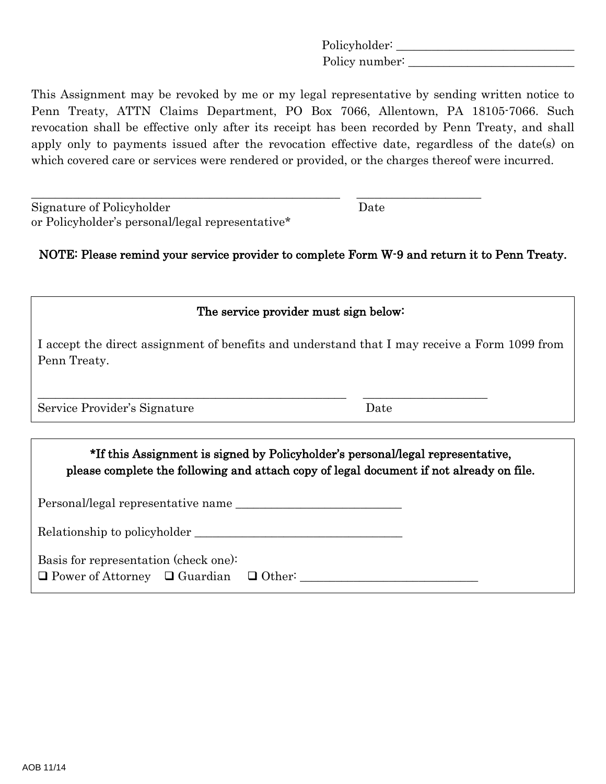Policyholder: \_\_\_\_\_\_\_\_\_\_\_\_\_\_\_\_\_\_\_\_\_\_\_\_\_\_\_\_\_\_ Policy number:

This Assignment may be revoked by me or my legal representative by sending written notice to Penn Treaty, ATTN Claims Department, PO Box 7066, Allentown, PA 18105-7066. Such revocation shall be effective only after its receipt has been recorded by Penn Treaty, and shall apply only to payments issued after the revocation effective date, regardless of the date(s) on which covered care or services were rendered or provided, or the charges thereof were incurred.

| Signature of Policyholder                        | Date |
|--------------------------------------------------|------|
| or Policyholder's personal/legal representative* |      |

NOTE: Please remind your service provider to complete Form W-9 and return it to Penn Treaty.

\_\_\_\_\_\_\_\_\_\_\_\_\_\_\_\_\_\_\_\_\_\_\_\_\_\_\_\_\_\_\_\_\_\_\_\_\_\_\_\_\_\_\_\_\_\_\_\_\_\_\_\_ \_\_\_\_\_\_\_\_\_\_\_\_\_\_\_\_\_\_\_\_\_

| The service provider must sign below:                                                                                                                                     |      |  |  |
|---------------------------------------------------------------------------------------------------------------------------------------------------------------------------|------|--|--|
| I accept the direct assignment of benefits and understand that I may receive a Form 1099 from<br>Penn Treaty.                                                             |      |  |  |
| Service Provider's Signature                                                                                                                                              | Date |  |  |
| *If this Assignment is signed by Policyholder's personal legal representative,<br>please complete the following and attach copy of legal document if not already on file. |      |  |  |
| Personal/legal representative name                                                                                                                                        |      |  |  |
| Relationship to policyholder                                                                                                                                              |      |  |  |

| Basis for representation (check one): |  |
|---------------------------------------|--|
|---------------------------------------|--|

 $\Box$  Power of Attorney  $\Box$  Guardian  $\Box$  Other: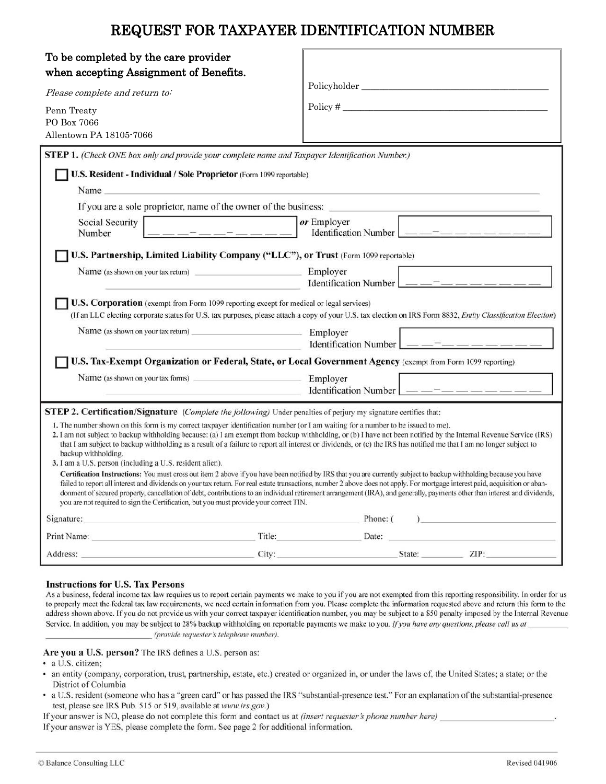# REQUEST FOR TAXPAYER IDENTIFICATION NUMBER

| To be completed by the care provider<br>when accepting Assignment of Benefits.<br>Please complete and return to:<br>Penn Treaty<br>PO Box 7066<br>Allentown PA 18105-7066<br><b>STEP 1.</b> (Check ONE box only and provide your complete name and Taxpayer Identification Number.)<br>U.S. Resident - Individual / Sole Proprietor (Form 1099 reportable)<br>Name                                                                                                                                                                                                                                                                                                                                                                                                                                                                                                                                                                                                                                                                                                                                                                                                                             | Policyholder<br>$Policy \#$                          |  |  |
|------------------------------------------------------------------------------------------------------------------------------------------------------------------------------------------------------------------------------------------------------------------------------------------------------------------------------------------------------------------------------------------------------------------------------------------------------------------------------------------------------------------------------------------------------------------------------------------------------------------------------------------------------------------------------------------------------------------------------------------------------------------------------------------------------------------------------------------------------------------------------------------------------------------------------------------------------------------------------------------------------------------------------------------------------------------------------------------------------------------------------------------------------------------------------------------------|------------------------------------------------------|--|--|
| If you are a sole proprietor, name of the owner of the business:                                                                                                                                                                                                                                                                                                                                                                                                                                                                                                                                                                                                                                                                                                                                                                                                                                                                                                                                                                                                                                                                                                                               |                                                      |  |  |
| Social Security<br>Number                                                                                                                                                                                                                                                                                                                                                                                                                                                                                                                                                                                                                                                                                                                                                                                                                                                                                                                                                                                                                                                                                                                                                                      | or Employer<br>Identification Number $\vert$ — — – – |  |  |
| U.S. Partnership, Limited Liability Company ("LLC"), or Trust (Form 1099 reportable)                                                                                                                                                                                                                                                                                                                                                                                                                                                                                                                                                                                                                                                                                                                                                                                                                                                                                                                                                                                                                                                                                                           |                                                      |  |  |
| Name (as shown on your tax return)                                                                                                                                                                                                                                                                                                                                                                                                                                                                                                                                                                                                                                                                                                                                                                                                                                                                                                                                                                                                                                                                                                                                                             | Employer<br>Identification Number $\Box$             |  |  |
| U.S. Corporation (exempt from Form 1099 reporting except for medical or legal services)<br>(If an LLC electing corporate status for U.S. tax purposes, please attach a copy of your U.S. tax election on IRS Form 8832, Entity Classification Election)                                                                                                                                                                                                                                                                                                                                                                                                                                                                                                                                                                                                                                                                                                                                                                                                                                                                                                                                        |                                                      |  |  |
| Name (as shown on your tax return)<br>the control of the control of the con-                                                                                                                                                                                                                                                                                                                                                                                                                                                                                                                                                                                                                                                                                                                                                                                                                                                                                                                                                                                                                                                                                                                   | Employer<br>Identification Number $\Box$ — —         |  |  |
| U.S. Tax-Exempt Organization or Federal, State, or Local Government Agency (exempt from Form 1099 reporting)                                                                                                                                                                                                                                                                                                                                                                                                                                                                                                                                                                                                                                                                                                                                                                                                                                                                                                                                                                                                                                                                                   |                                                      |  |  |
| Name (as shown on your tax forms)                                                                                                                                                                                                                                                                                                                                                                                                                                                                                                                                                                                                                                                                                                                                                                                                                                                                                                                                                                                                                                                                                                                                                              | Employer<br>Identification Number   __ _ _ _ _ _ _ _ |  |  |
| <b>STEP 2. Certification/Signature</b> (Complete the following) Under penalties of perjury my signature certifies that:                                                                                                                                                                                                                                                                                                                                                                                                                                                                                                                                                                                                                                                                                                                                                                                                                                                                                                                                                                                                                                                                        |                                                      |  |  |
| 1. The number shown on this form is my correct taxpayer identification number (or I am waiting for a number to be issued to me).<br>2. I am not subject to backup withholding because: (a) I am exempt from backup withholding, or (b) I have not been notified by the Internal Revenue Service (IRS)<br>that I am subject to backup withholding as a result of a failure to report all interest or dividends, or (c) the IRS has notified me that I am no longer subject to<br>backup withholding.<br>3. I am a U.S. person (including a U.S. resident alien).<br>Certification Instructions: You must cross out item 2 above if you have been notified by IRS that you are currently subject to backup withholding because you have<br>failed to report all interest and dividends on your tax return. For real estate transactions, number 2 above does not apply. For mortgage interest paid, acquisition or aban-<br>donment of secured property, cancellation of debt, contributions to an individual retirement arrangement (IRA), and generally, payments other than interest and dividends,<br>you are not required to sign the Certification, but you must provide your correct TIN. |                                                      |  |  |
| Signature:                                                                                                                                                                                                                                                                                                                                                                                                                                                                                                                                                                                                                                                                                                                                                                                                                                                                                                                                                                                                                                                                                                                                                                                     | Phone: $($ )                                         |  |  |
|                                                                                                                                                                                                                                                                                                                                                                                                                                                                                                                                                                                                                                                                                                                                                                                                                                                                                                                                                                                                                                                                                                                                                                                                | Title:<br>Date:                                      |  |  |
| Address: Analysis and the contract of the contract of the contract of the contract of the contract of the contract of the contract of the contract of the contract of the contract of the contract of the contract of the cont                                                                                                                                                                                                                                                                                                                                                                                                                                                                                                                                                                                                                                                                                                                                                                                                                                                                                                                                                                 | City: State: ZIP:                                    |  |  |
|                                                                                                                                                                                                                                                                                                                                                                                                                                                                                                                                                                                                                                                                                                                                                                                                                                                                                                                                                                                                                                                                                                                                                                                                |                                                      |  |  |

#### **Instructions for U.S. Tax Persons**

As a business, federal income tax law requires us to report certain payments we make to you if you are not exempted from this reporting responsibility. In order for us to properly meet the federal tax law requirements, we need certain information from you. Please complete the information requested above and return this form to the address shown above. If you do not provide us with your correct taxpayer identification number, you may be subject to a \$50 penalty imposed by the Internal Revenue Service. In addition, you may be subject to 28% backup withholding on reportable payments we make to you. If you have any questions, please call us at (provide requester's telephone number).

- Are you a U.S. person? The IRS defines a U.S. person as:
- · a U.S. citizen;
- an entity (company, corporation, trust, partnership, estate, etc.) created or organized in, or under the laws of, the United States; a state; or the District of Columbia
- a U.S. resident (someone who has a "green card" or has passed the IRS "substantial-presence test." For an explanation of the substantial-presence test, please see IRS Pub. 515 or 519, available at www.irs.gov.)

If your answer is NO, please do not complete this form and contact us at *(insert requester's phone number here)* 

If your answer is YES, please complete the form. See page 2 for additional information.